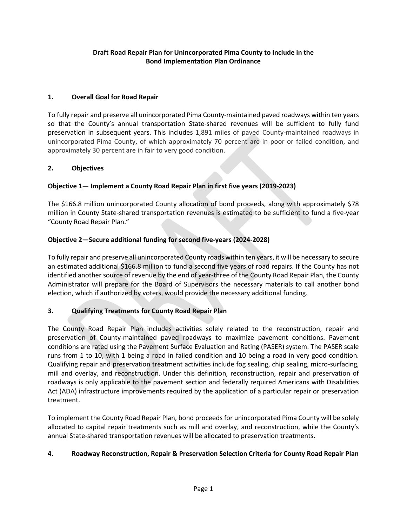# **Draft Road Repair Plan for Unincorporated Pima County to Include in the Bond Implementation Plan Ordinance**

## **1. Overall Goal for Road Repair**

To fully repair and preserve all unincorporated Pima County-maintained paved roadways within ten years so that the County's annual transportation State-shared revenues will be sufficient to fully fund preservation in subsequent years. This includes 1,891 miles of paved County-maintained roadways in unincorporated Pima County, of which approximately 70 percent are in poor or failed condition, and approximately 30 percent are in fair to very good condition.

### **2. Objectives**

## **Objective 1— Implement a County Road Repair Plan in first five years (2019-2023)**

The \$166.8 million unincorporated County allocation of bond proceeds, along with approximately \$78 million in County State-shared transportation revenues is estimated to be sufficient to fund a five-year "County Road Repair Plan."

### **Objective 2—Secure additional funding for second five-years (2024-2028)**

To fully repair and preserve all unincorporated County roads within ten years, it will be necessary to secure an estimated additional \$166.8 million to fund a second five years of road repairs. If the County has not identified another source of revenue by the end of year-three of the County Road Repair Plan, the County Administrator will prepare for the Board of Supervisors the necessary materials to call another bond election, which if authorized by voters, would provide the necessary additional funding.

### **3. Qualifying Treatments for County Road Repair Plan**

The County Road Repair Plan includes activities solely related to the reconstruction, repair and preservation of County-maintained paved roadways to maximize pavement conditions. Pavement conditions are rated using the Pavement Surface Evaluation and Rating (PASER) system. The PASER scale runs from 1 to 10, with 1 being a road in failed condition and 10 being a road in very good condition. Qualifying repair and preservation treatment activities include fog sealing, chip sealing, micro-surfacing, mill and overlay, and reconstruction. Under this definition, reconstruction, repair and preservation of roadways is only applicable to the pavement section and federally required Americans with Disabilities Act (ADA) infrastructure improvements required by the application of a particular repair or preservation treatment.

To implement the County Road Repair Plan, bond proceeds for unincorporated Pima County will be solely allocated to capital repair treatments such as mill and overlay, and reconstruction, while the County's annual State-shared transportation revenues will be allocated to preservation treatments.

### **4. Roadway Reconstruction, Repair & Preservation Selection Criteria for County Road Repair Plan**